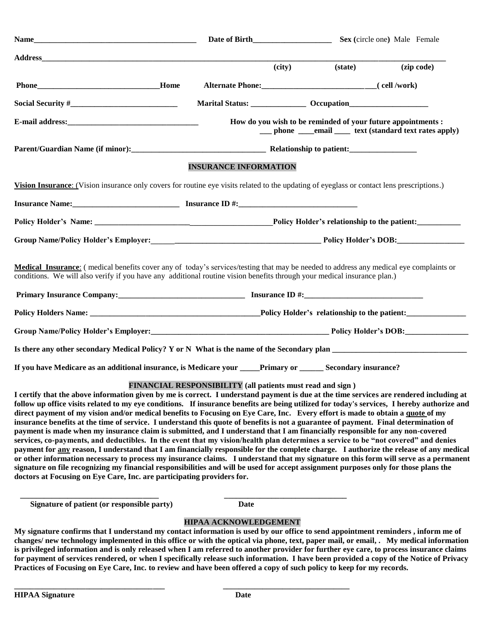| Name__                                                                                                                                                                                                                                                                                                                                                                                                                                                                                                                                                           |                                                            |        | Sex (circle one) Male Female                                 |                                                           |  |  |
|------------------------------------------------------------------------------------------------------------------------------------------------------------------------------------------------------------------------------------------------------------------------------------------------------------------------------------------------------------------------------------------------------------------------------------------------------------------------------------------------------------------------------------------------------------------|------------------------------------------------------------|--------|--------------------------------------------------------------|-----------------------------------------------------------|--|--|
| <b>Address</b>                                                                                                                                                                                                                                                                                                                                                                                                                                                                                                                                                   |                                                            | (city) | (state)                                                      | (zip code)                                                |  |  |
|                                                                                                                                                                                                                                                                                                                                                                                                                                                                                                                                                                  |                                                            |        |                                                              |                                                           |  |  |
|                                                                                                                                                                                                                                                                                                                                                                                                                                                                                                                                                                  |                                                            |        | Alternate Phone: (cell /work)                                |                                                           |  |  |
|                                                                                                                                                                                                                                                                                                                                                                                                                                                                                                                                                                  |                                                            |        |                                                              |                                                           |  |  |
|                                                                                                                                                                                                                                                                                                                                                                                                                                                                                                                                                                  |                                                            |        | How do you wish to be reminded of your future appointments : | __ phone ____email _____ text (standard text rates apply) |  |  |
|                                                                                                                                                                                                                                                                                                                                                                                                                                                                                                                                                                  |                                                            |        |                                                              |                                                           |  |  |
|                                                                                                                                                                                                                                                                                                                                                                                                                                                                                                                                                                  | <b>INSURANCE INFORMATION</b>                               |        |                                                              |                                                           |  |  |
| Vision Insurance: (Vision insurance only covers for routine eye visits related to the updating of eyeglass or contact lens prescriptions.)                                                                                                                                                                                                                                                                                                                                                                                                                       |                                                            |        |                                                              |                                                           |  |  |
|                                                                                                                                                                                                                                                                                                                                                                                                                                                                                                                                                                  |                                                            |        |                                                              |                                                           |  |  |
|                                                                                                                                                                                                                                                                                                                                                                                                                                                                                                                                                                  |                                                            |        |                                                              |                                                           |  |  |
|                                                                                                                                                                                                                                                                                                                                                                                                                                                                                                                                                                  |                                                            |        |                                                              |                                                           |  |  |
| Medical Insurance: (medical benefits cover any of today's services/testing that may be needed to address any medical eye complaints or<br>conditions. We will also verify if you have any additional routine vision benefits through your medical insurance plan.)                                                                                                                                                                                                                                                                                               |                                                            |        |                                                              |                                                           |  |  |
|                                                                                                                                                                                                                                                                                                                                                                                                                                                                                                                                                                  |                                                            |        |                                                              |                                                           |  |  |
|                                                                                                                                                                                                                                                                                                                                                                                                                                                                                                                                                                  |                                                            |        |                                                              |                                                           |  |  |
| Group Name/Policy Holder's Employer:<br>1992. The Policy Holder's DOB:                                                                                                                                                                                                                                                                                                                                                                                                                                                                                           |                                                            |        |                                                              |                                                           |  |  |
|                                                                                                                                                                                                                                                                                                                                                                                                                                                                                                                                                                  |                                                            |        |                                                              |                                                           |  |  |
| If you have Medicare as an additional insurance, is Medicare your _____Primary or _______ Secondary insurance?                                                                                                                                                                                                                                                                                                                                                                                                                                                   |                                                            |        |                                                              |                                                           |  |  |
| I certify that the above information given by me is correct. I understand payment is due at the time services are rendered including at<br>follow up office visits related to my eye conditions. If insurance benefits are being utilized for today's services, I hereby authorize and<br>direct payment of my vision and/or medical benefits to Focusing on Eye Care, Inc. Every effort is made to obtain a quote of my<br>insurance benefits at the time of service. I understand this quote of benefits is not a guarantee of payment. Final determination of | FINANCIAL RESPONSIBILITY (all patients must read and sign) |        |                                                              |                                                           |  |  |

**payment is made when my insurance claim is submitted, and I understand that I am financially responsible for any non-covered services, co-payments, and deductibles. In the event that my vision/health plan determines a service to be "not covered" and denies payment for any reason, I understand that I am financially responsible for the complete charge. I authorize the release of any medical or other information necessary to process my insurance claims. I understand that my signature on this form will serve as a permanent signature on file recognizing my financial responsibilities and will be used for accept assignment purposes only for those plans the doctors at Focusing on Eye Care, Inc. are participating providers for.**

**Signature** of patient (or responsible party) Date

 **\_\_\_\_\_\_\_\_\_\_\_\_\_\_\_\_\_\_\_\_\_\_\_\_\_\_\_\_\_\_\_\_\_\_\_ \_\_\_\_\_\_\_\_\_\_\_\_\_\_\_\_\_\_\_\_\_\_\_\_\_\_\_\_\_\_\_**

**\_\_\_\_\_\_\_\_\_\_\_\_\_\_\_\_\_\_\_\_\_\_\_\_\_\_\_\_\_\_\_\_\_\_\_\_\_\_ \_\_\_\_\_\_\_\_\_\_\_\_\_\_\_\_\_\_\_\_\_\_\_\_\_\_\_\_\_\_\_\_**

## **HIPAA ACKNOWLEDGEMENT**

**My signature confirms that I understand my contact information is used by our office to send appointment reminders , inform me of changes/ new technology implemented in this office or with the optical via phone, text, paper mail, or email, . My medical information is privileged information and is only released when I am referred to another provider for further eye care, to process insurance claims for payment of services rendered, or when I specifically release such information. I have been provided a copy of the Notice of Privacy Practices of Focusing on Eye Care, Inc. to review and have been offered a copy of such policy to keep for my records.**